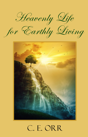



# $C<sub>n</sub> E<sub>n</sub> OR R$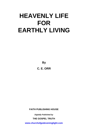**By C. E. ORR**

**FAITH PUBLISHING HOUSE** 

*Digitally Published by* 

**THE GOSPEL TRUTH** 

**<www.churchofgodeveninglight.com>**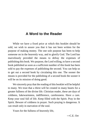# **A Word to the Reader**

While we have a fixed price at which this booklet should be sold, we wish to assure you that it has not been written for the purpose of making money. The one sole purpose has been to help someone on in the heavenly way, and to glorify God. The Lord has marvelously provided the means to defray the expenses of publishing this book. We purpose, the Lord willing, to have a second book published as soon as a sufficient number of this book has been sold to pay the expenses of publishing the second. You can help us to get out a second book by circulating this one. The sooner the means is provided for the publishing of a second book the sooner it will be on its mission of doing good.

We sincerely pray that the reading of this booklet will be helpful to many. We trust that a thirst will be created in many hearts for a greater fullness of the divine life. Christian reader, these are days of coldness, lukewarmness, indifference, carelessness. Have a care. Keep your soul full of life. Keep filled with the Spirit. Pray in the Spirit. Beware of coldness in prayer. Such praying is dangerous. It can result only in starvation of the soul.

Yours for the fullness of heavenly life,

 $-C E$ . Orr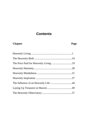# **Contents**

# **Chapter Page**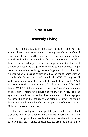#### <span id="page-6-0"></span>**Chapter One**

# **Heavenly Living**

"The Topmost Round in the Ladder of Life." This was the subject three young ladies were discussing one afternoon. One of them thought if she could become a world-renowned painter that she would reach, what she thought to be the topmost round in life's ladder. The second aspired to become a great educator. The third thought she could be the greatest blessing to man by becoming a politician, therefore she thought of entering the world of politics. An old man who was passing by was asked by the young ladies what he thought to be the topmost round in the ladder of life. Taking a small well-worn book from his pocket, he read these words, "And whatsoever ye do in word or deed, do all in the name of the Lord Jesus." (Col. 3:17). He explained to them that "name" meant nature or character. "Therefore whatever else you may do in life," said the aged man, "you have not reached the true standard of life except you do those things in the nature, or character of Jesus." The young ladies exclaimed in one breath, "It is impossible to live such a life. Only angels live in such a way."

This little book proposes to speak to you, gentle reader, about that which these young ladies thought to be impossible. To do all our deeds and speak all our words in the nature or character of Jesus is to live heavenly. These short messages are brought to you to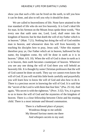show you that such a life can be lived on the earth, to tell you how it can be done, and also to tell you why it should be done.

We are called to heavenliness of life. None have attained to the true standard of life who do not live heavenly. It is God's ideal life for man. In his Sermon on the Mount Jesus spoke these words, "Not every one that saith unto me, Lord, Lord, shall enter into the kingdom of heaven; but he that doeth the will of my Father which is in heaven." (Matt. 7:21). Nothing but doing the will of God entitles man to heaven, and whosoever does his will lives heavenly. In teaching his disciples how to pray, Jesus said, "After this manner therefore pray ye, Our Father which art in heaven, hallowed be thy name, thy kingdom come, thy will be done in earth as it is in heaven." (Matt. 6:9, 10). When the will of God is done in earth as it is in heaven, then earth becomes counterpart of heaven. Wherever you see any one doing the will of God there you will behold an heavenly life. It is thought by some Christian professors that the will of God cannot be done on earth. They say we cannot even know the will of God. If you will read this little book carefully and prayerfully you will learn how to know the will of God and also how to do it. There is a precious secret in knowing the will of God. It is said that the "secret of the Lord is with them that fear him." (Psa. 25:14). And again, "His secret is with the righteous." (Prov. 3:32). Yes, it is given to us to know the will of God and the mysteries of the kingdom of heaven. There is a close fellowship between Christ and his trusting child. There is a most intimate and blessed communion.

> There is a hallowed place of prayer; Wondrous things to me unfold. My blessed Saviour meets me there And whispers secrets to my soul.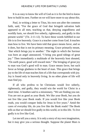It is as easy to know the will of God as it is for the bird to know how to build its nest. Further on we will have more to say about this.

Paul, in writing a letter to Titus, his own son after the common faith, said, "For the grace of God that bringeth salvation hath appeared to all men, teaching us that, denying ungodliness and worldly lusts, we should live soberly, righteously, and godly in this present world." (Tit. 2:11-12). To have these words fulfilled in our life is to live heavenly. Grace is a teacher come from God. It teaches man how to live. We have been told that grace means favor, and so it does, but that is not its primary meaning. Grace primarily meant, 'that which brings joy to another.' The night in which the Saviour was born an angel announced, "I bring you good tidings of great joy." Then immediately a multitude of the heavenly host shouted, "On earth peace, good will toward men." The bringing of great joy to man was God's good will to man. Grace means favor, but such favor as brings gladness to the heart of man. This grace that brings joy to the life of man teaches him of a life that corresponds with joy. Joy is found only in heavenly living. In no other plane of life will man find joy.

If all who profess to be Christians would live soberly, righteously, and godly, they would win the world for Christ in a short time. A heathen said to a missionary, "We are finding you out. You are not as good as your Book. We like your Book, but you do not live like your Book reads. If you would live like your Book reads, you would conquer India for Jesus in five years." Amid the cares of everyday life, do you live like the Book reads? The Book tells us that we should live godly in this world, or in this life. To live godly is to live like God.

Let me tell you a story. It is only a story of my own imagination, but it may give you a serious thought. Suppose the planet Mars is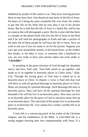inhabited by people of like nature to us. They have moving pictures there as men have here. One theatrical man hears of the life of Jesus. He hears of it being the most wonderful life ever lived. He wishes to get that life on his films that he may play it out in his picture house. But he is told that the life of Jesus is a Spirit life, and he has no camera that will photograph a spirit. But he is also told that there is a people on the planet Earth who live the life of Jesus in the flesh and if he will send his photographer to Earth and take a picture of the daily life of these people he will have the life of Jesus. Now we wish to ask you if you are ready to sit for the picture. Suppose you can't get your automobile started, or the bread burns, or the clothes line breaks, or the baby is cross, or someone tells a falsehood on you, are you ready to have your picture taken and write under it, "**Christlike**?"

In speaking of the great salvation of God through his abundant mercy and love, Paul said, "And hath raised us up together, and made us to sit together in heavenly places in Christ Jesus." (Eph. 2:6). Through the saving grace of God man is raised up to an heavenly place in Christ. In chapter 1, verse 3, Paul tells that God will bless us with all spiritual blessings in heavenly places in Christ. Many are praying for spiritual blessings. Such blessings fall only in heavenly places. Man will have all the spiritual blessings his soul demands if he will but live in an heavenly place. Now man can live in an heavenly place for the grace of God in salvation raises him up to an heavenly place. The only kind of life people live in an heavenly place is an heavenly life. You cannot live a sinful, worldly life in an heavenly place.

A holy life is a convincing proof of the reality of the Christian religion, and the truthfulness of the Bible. A God-filled life is a strong magnet drawing men into companionship with Jesus. If a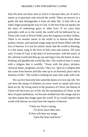holy life does not draw men to God it is because they are of such a nature as to gravitate only toward the world. There are powers in a godly life that distinguishes it from all other life. A holy life is an index finger pointing the way to God. A life free from sin speaks out the story of redeeming grace to other lives. If we carry holy principles with us in the world, the world will be hallowed by us. Those who work in flower fields carry the fragrance on their clothes. There is no sweeter music in the world or in heaven than those psalms, hymns, and spiritual songs sung out of hearts filled with the love of heaven. It is not for artistic music that the world is thirsting, it is the music sung in the lives of holy men and women. Fill your soul, O saint of God, in the place of secret prayer, with the music of the celestial world and then go out and sing it into the hearts of men. Nothing will gladden the world like this. The world of men is weary with a religion that is worldly. "Away with the plays, pictures, classical music, programs, socials," they cry, "give us a religion that has come from heaven and lifts men up to an heavenly place and to holiness of life." The world is looking for men who walk with God.

We can live heavenly here amid the duties of every day life. We can have the stamp of holiness on every word we speak and every deed we do. By living much in the presence of Christ, the bloom of Christ will tint every act of life. By the assimilation of Christ, in the hour of quiet meditation, we become molded into His image and we can then stamp that image upon the world. If we would impress the world with heaven we must bear the impress of heaven.

> "I hear my Savior saying, I'll never leave thee now, If thou wilt bear my image Upon thy heart and brow."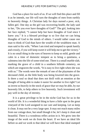God has a place for each of us. If we will find this place and fill it as he intends, our life will turn the thoughts of men from earthly to heavenly things. A Christian lady for days nursed a poor, sick, fallen girl. One day as the girl was recovering health, the lady said to her, "Do you ever have thoughts of God?" The girl, looking into her face replied, "I cannot help but have thoughts of God since I knew you." It is a blessed privilege to so live that we can bring thoughts of God to the minds of others. I would rather cause one man to think of God than have the wealth of the wealthiest man. A man said to his wife, "When I am tried and tempted to speak hastily and crossly, if you will keep sweet it will help me to get the victory." It is no small thing in the eyes of heaven to keep so mild, gentle and calm in a time of domestic tempest as to bring a quietness, a calmness into the life of some tried one. There is a small marble slab, marking the grave of a child in a southern hillside cemetery, on which are engraven the words, "It is easy to live right when she was with us." The words were the remark of one of the playmates of the deceased child, as the little body was being lowered into the grave. Is there a soul so dead that does not thrill with an emotion at the thought of being able to make it easier for another to live right? Let us invest so heavily in the stock of grace that we may be able, by our heavenly life, to help others to live heavenly. Such investment will pay well in the day of eternity.

It is a great privilege to be in the niche God has for us in the world of life. It is a wonderful thing to have a little spot in the great vineyard of the Lord assigned to our care and keeping. Let us keep it clean. It may not be a very large spot. It may not reach many miles from our cottage door, but small though it be, let's keep it clean and beautiful. There is a wondrous reflex action in it. We grow into the image of the work we do from the heart. If we have an ideal life before us and we work to that ideal we will have that ideal stamped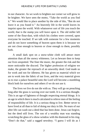in our character. As we work to brighten our corner we will grow to be brighter. We have seen the motto, "Take the world as you find it." We would like to place another by the side of this, "But do not leave it as you found it." An heavenly life in the world leaves its imprint upon the world. With whatsoever sort of life you touch the world, that is the stamp you will leave upon it. The old miller left some of the flour-dust, with which his clothes were covered, upon everyone he touched. If we talk with someone for a few moments and do not leave something of heaven upon them it is because we are not close enough to heaven or close enough to them, possibly both.

A small dark spot on a snow-white cloth will attract more attention than all the snowy whiteness. Let us beware then to keep our lives unspotted. The finer the music, the greater the risk and the more noticeable the discord. The higher profession of religion we make, the greater the reproach of an unworthy deed. God made us for work and not for idleness. He has given us material which we are to work into the fabric of our lives, and the very material given us to rear a palace beautiful unto the Lord will become a stumbling block both for ourselves and others if we do not use it.

The lives we live do not die with us. They will go on preaching long after the grass is waving over our tomb. It is a serious thought. This is an age of lightness of thought respecting eternal things. It is an age in which there is much calculated to relieve men of the feeling of responsibility of life. It is a serious thing to live. Better never to have lived at all than to fail of doing our duty in life. No tears of our after life can wash out a deed that has been done. Jesus can forgive, but the deed still lives. The son of a wealthy man was standing scratching the glass of a show-window with the diamond in his ring. "Don't do that," said a ragged newsboy. "I guess I will do as I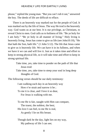please," replied the young man. "But you can't rub it out," answered the boy. The deeds of life are difficult to efface.

There is an heavenly way marked out for the people of God. It was marked out by the life of Jesus. The way He trod is the heavenly way. God wants us at our best. It is our privilege, as Christians, to reveal Christ to men. God calls us to holiness of life. "Be ye holy for I am holy." "Be ye holy in all manner of living." Holy living is heavenly living. Jesus has come to give us life (see John10:10), "He that hath the Son, hath life." (1 John 5:12). The life that Jesus came to give us is heavenly life. We can have it in its fullness, and when we have it we can and will live it. Just as it takes time and effort to keep in strong physical life, so it will take time and effort to keep in strong spiritual life.

> Take time, yes, take time to ponder on the path of life that Jesus trod: Take time, yes, take time to steep your soul in long deep thoughts of God.

The following verses should be our daily testimony:

I am walking each day in an heavenly way How e'er strait and narrow it be ; To me it is clear, and I love it so dear, For Jesus is walking with me.

To me He is fair, naught with Him can compare, The truest, the noblest, the best; His love I can feel, to me He is real. As gently I lie on His breast.

Though dark be the day, light lies on my way, My pathway of life I can see;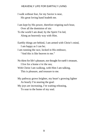I walk without fear, for my Savior is near, His great loving hand leadeth me.

I am kept by His power, therefore reigning each hour, Over all the dominion of sin:

To the world I am dead, by the Spirit I'm led, Along an heavenly way with Him.

Earthly things are behind, I am armed with Christ's mind, I am happy as I can be;

I am running the race, locked in His embrace,

"And this is like heaven to me."

No thirst for life's pleasure, nor thought for earth's treasure, I live for a home o'er the sea;

With Christ I am walking, with Him I am talking,

This is pleasure, and treasure to me.

My pathway grows brighter, my heart's growing lighter As hourly I'm nearing the goal:

My joys are increasing, I'm waiting releasing,

To soar to the home of my soul.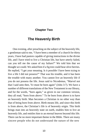#### <span id="page-15-0"></span>**Chapter Two**

# **The Heavenly Birth**

One evening, after preaching on the subject of the heavenly life, a gentleman said to me, "I have been a member of a church for thirty years, I have had pastors capable of giving instructions in the divine life, and I have tried to live a Christian life, but have utterly failed, can you tell me the cause of my failure?" We told him that we thought we could. We asked him if a fig tree could bear olive berries. He replied, "I get your meaning. Is it possible I have been trying to live a life I did not possess?" That was his trouble, and it has been the trouble with many another. You cannot live an heavenly life if you do not possess the life. Jesus said to Nicodemus, "Marvel not that I said unto thee, Ye must be born again" (John 3:7). We have a number of different translations of the New Testament in our library, and for the words, "born again," as given in our common version, they all read, "born from above." To be born from above is to have an heavenly birth. Man becomes a Christian in no other way than that of being born from above. Birth means life, and since this birth is from above, the Christian's life is of heavenly origin. This birth brings man into an heavenly state on earth, enables him to live an heavenly life, and entitles him to an eternal heaven beyond this life. There can be no more important theme in the Bible. There are many sincere people who do not understand the nature of the new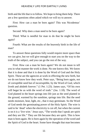birth and the life that is to follow. We hope to bring them help. There are a few questions often asked which we will try to answer.

First: How can a man be born again? This was Nicodemus' question.

Second: Why does a man need to be born again?

Third: What is needful for man to do that he might be born again?

Fourth: What are the results of the heavenly birth in the life of man?

To answer these questions fully would require more space than we can give, but we will give enough to start you on the way to the truth of the subject, and you can go the rest of the way.

First: How can a man be born again? We do not mean to tell you in what manner the work is done. No one knows this. We know that it is done and that it is done by the Word of God and the Holy Spirit. These are the agencies at work in effecting the new birth, but we do not know how they work. Peter says, "Being born again, not of corruptible seed but of incorruptible, by the Word of God, which liveth and abideth forever." (1 Pet. 1:23). James says, "Of his own will begat he us with the word of truth." (Jas. 1:18). The word of God planted in the heart springs into life just as the seed planted in the ground, warmed by the sunshine, springs into life. But the seed needs moisture, heat, light, etc., that it may germinate. So the Word of God needs the germinating power of the Holy Spirit. The wire is said to be 'dead' when the electricity is cut off, but when the current is on it is a 'live wire.' Jesus says, "The words that I speak are spirit and they are life." They are life because they are spirit. This is how man is born again. He is born again by the operation of the word and the Spirit of God in the heart. Some have thought that man becomes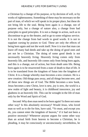a Christian by a change of his purpose, or by decision of will, or by works of righteousness. Something of these may be necessary on the part of man, of which we will speak in its proper place, but these do not bring life to the soul. Being born again is a change, not of purpose only, but a change of nature also, a change from bad principles to good principles. It is not a change in action, such as to discontinue to go to the theatre, and to go to some religious service. It is not the change from bad words to good words. It is not to supplant cursing by praises to God. These are only the effects of being born again and not the work itself. Now it is true that man can leave off many bad deeds and take up the doing of good ones and yet not be a Christian. The doing of some good deeds is not necessarily heavenly living. Heavenly living comes only from heavenly life, and heavenly life comes only from being born again, and this is a change, not of action, but from death unto life. Being born again is to be resurrected from a state of death to that of life. It is to be translated from the kingdom of Satan into the kingdom of Christ. It is a change whereby man becomes a new creature. He is a new creation. Old things pass away, and all things become new, and all these new things are of God. The Bible becomes a new book, Jesus becomes a new Christ, love is new, joy is new, the world is a new realm of light and beauty, it is childhood innocence, joy and gladness in an heavenly life. This can be wrought in the life of man only by the Word and Spirit of God.

Second: Why does man need to be born again? Is there not some other way? Is this absolutely necessary? Would Jesus, who loved man so well as to die for him, have said, "Ye must, and except you do, you cannot enter the kingdom of heaven," if it had not been a positive necessity? Whenever anyone argues for some other way than an actual birth from heaven to become a Christian, he is pleading, it may be consciously or unconsciously; nevertheless, he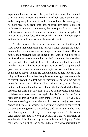is pleading for a looseness, a liberty in life that is below the standard of Bible living. Heaven is a fixed state of holiness. Man is in sin, and consequently in a state of death. He must have his sins forgiven, he must pass from death unto life, he must pass from a state of guiltiness to a state of innocence, he must pass from a state of sinfulness unto a state of holiness or he cannot enter the kingdom of heaven. It is a fixed law. The reason why man must be born again is, then, because he cannot enter heaven without it.

Another reason is because he can never receive the things of God. If God should take him into heaven without being made a new creature he could not receive the things of heaven. Listen, "But the natural man receiveth not the things of the Spirit of God, for they are foolishness unto him, neither can he know them, because they are spiritually discerned." (1 Cor. 1:41). Man is a natural man until he is born again. When he is born again he is born of the supernatural power and he becomes supernatural or spiritual. Without this heaven could not be heaven to him. He could no more be able to receive the things of heaven than a dark body is to receive light, nor more able to enjoy heaven than a deaf man to enjoy music, or the blind man to enjoy the beauty of the flower. "Eye hath not seen, nor ear heard, neither hath entered into the heart of man, the things which God hath prepared for them that love him. But God hath revealed them unto us [those who have been born again] by his Spirit, for the Spirit searcheth all things, yea, the deep things of God." (1 Cor. 2:9, 10). Men are traveling all over the world to see and enjoy wondrous scenes of the material world. They are utterly unable to conceive of the beauties, the glories, the wonders, God has for those who have been born again except they have this experience. The heavenly birth brings man into a world of beauty, of light, of grandeur, of wonder, that fills him with joy unspeakable and full of glory. Praise the Lord. The Spirit of God brings up the deep and wondrous things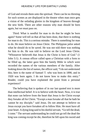of God and reveals them unto the spiritual. There can be no thirsting for such scenes as are displayed in the theatre when man once gets a vision of the unfading glories in the kingdom of heaven through the new birth. There are other reasons why man should be born again, but we must pass on.

Third: What is needful for man to do that he might be born again? Some will tell us that all has been done, that there is nothing for man to do. This is a serious mistake. There is something for man to do. He must believe on Jesus Christ. The Philippian jailor asked what he should do to be saved. He was not told there was nothing for him to do. He was told to believe on the Lord Jesus Christ. "Whosoever believeth that Jesus is the Christ is born of God." (1 John 5:1). A census officer called upon a Christian with a form to be filled up, the latter gave him the family Bible in which were recorded the names of the various members of the family. After looking down the list of names, the officer said, "I do not understand this; here is the name of Samuel T. who was born in 1890, and in 1920 was born again. I do not know how to make this entry." Reader, could you have explained the point from a personal experience?

The believing that is spoken of in our last quoted text is more than intellectual belief. It is to believe with the heart. Now, it is true that none can believe from the heart that Jesus is the Christ except they forsake all for Christ. "Except a man forsake all that he hath he cannot be my disciple," said Jesus. Do not attempt to believe on Jesus except you have forsaken all to follow Him. He must have all your heart. A dying king said to his dutiful servant, "Go tell the dead, I come." The servant understanding he could not go tell the dead the king was coming except he die, therefore he fell upon his sword and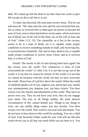died. We cannot go tell the dead in sin that Jesus has come to give life except we die to all that is in sin.

To enter into heavenly life man must receive Jesus. This he can and must do. "He came unto his own and his own received him not, but as many as received him to them gave he power to become the sons of God, even to them that believe on his name: which were born not of blood, nor of the will of the flesh, nor of the will of man, but of God." (John 1:12, 13). The caterpillar, as it lies in the cocoon, seems to be in a state of death, yet it is capable, under proper conditions to receive something outside of itself, and receiving this, is converted into a butterfly. The soul of man, dead in sin, is capable under proper conditions to receive Jesus Christ, and as it receives him, it is born of God.

Fourth: The results in life of man having been born again? He has victory over the world. "For whatsoever is born of God overcometh the world." (1 John 5:4). It is not that we go out of the world, it is not that we cannot be citizens of the world, it is not that we cannot do business with the world, but that we have overcome the world. Those born of God live above the world. When the world of mankind speaks evil of you, neglects you, persecutes you, insults you, misrepresents you, despises you, you have victory. You have victory over the charms and allurements of the world. They have no power over you. They do not have your love; they do not engage your mind. The loss of all things earthly, the most adverse circumstances of life, cannot disturb you. Things to eat, things to wear, nor any earthly thing causes you any anxiety. You have victory over the world. This world is not your lord and master. You do not have to bow down to this world for anything. You are a child of God. Your heavenly Father careth for you. God will see that this world serves you in all that you need while you are here in it. You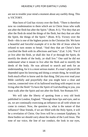are not to trouble your mind a moment about any earthly thing. This is VICTORY.

Man born of God has victory over the flesh. "There is therefore now no condemnation to them which are in Christ Jesus who walk not after the flesh but after the Spirit." (Rom. 8:1). "For they that are after the flesh do mind the things of the flesh, but they that are after the Spirit, the things of the Spirit." (Rom. 8:5). Victory over the flesh—this is one of the highest points in the Christian life. We have a beautiful and forceful example of it in the life of Jesus when he refused to turn stones to bread. "And they that are Christ's have crucified the flesh with its affections and lusts." (Gal. 5:24). "For if ye live after the flesh, ye shall die: but if ye through the Spirit, do mortify the deeds of the body, ye shall live." One said he did not understand what it meant to live after the flesh and to mortify the deeds of the body. He was advised to search and seek for an understanding, for it is a most serious matter. If a man's physical life depended upon his knowing and doing a certain thing, he would put forth much effort to know and do that thing. Did you ever read your Bible carefully and prayerfully that you might have a clear and concise, connected view of its hallowed teaching with respect to not living after the flesh? To have the Spirit of God dwelling in you, you must walk after the Spirit and not after the flesh. See Romans 8:9.

We will take the liberty of quoting from a very old book published in London, England. "Through these lips and eyes, and so on, we are continually exercising an influence on all with whom we come in contact. Now, the question is, what is the nature of that influence? Dear friends, if we are filled with the Holy Spirit, it will be a revelation of Christ. Our lives will be a constant Epiphany. In these bodies we should carry about the marks of the Lord Jesus. The tone of our voice, the line of our conduct, the look in our eyes,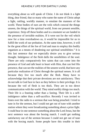everything about us will speak of Christ. I do not think it a light thing, dear friend, that so many who name the name of Christ adopt a light, rattling, worldly manner, to emulate the manners of the world. These bodies of ours are the veils which conceal the things unseen, the things of the spiritual world, from our present sensible, experience. Strip off these bodies and in a moment we are landed in the presence of invisible realities. If it were not for the veil which now for a time overshadows us, it would be impossible for us to fulfill the work of our probation. At the same time, however, it will be the great effort of the foe of God and man to employ this bodily organism as a means of deadening our spiritual sensibilities." It is this last sentence that we especially desire you to give serious thought. Indulgence of the flesh dulls the sensibilities of the soul. There are only comparatively few saints that can come into the presence of God and talk heart to heart with Him, that can feel His presence, that can see the realities of the unseen world, that have any particular realization of Christ through the spiritual senses. It is all because they live too much after the flesh. Many have to acknowledge that their private devotions are not satisfactory. They do not talk to God face to face as they believe is their privilege. It is because the veil of flesh is too thick. They are in too direct communication with the world. They mind earthly things too much. Their life is a feasting rather than a fasting. Their life is a selfindulgence rather than a self-sacrifice. Recently I was invited to listen over the radio to a sermon that was being preached. I tried to tune in for the sermon, but I could not get out of tune with another station where they were broadcasting something about a prize fight. I could hear in one sentence something about the Lord Jesus, but the next sentence was about the boxing match. I could get nothing satisfactory out of the sermon because I could not get out of tune with the boxing match. Some people have this trouble in their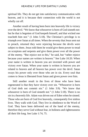spiritual life. They do not get into satisfactory communication with heaven, and it is because their connection with the world is not wholly cut off.

Another result of having been born into heavenly life is victory over the devil. "We know that whosoever is born of God sinneth not: but he that is begotten of God keepeth himself, and that wicked one toucheth him not." (1 John 5:18). The Christian's privilege is to triumph over Satan at all times. When the seventy that Jesus sent out to preach, returned they were rejoicing because the devils were subject to them. Jesus told them he would give them power to tread on scorpions and serpents and give them power over all the power of the enemy. "But rejoice not in this," he said, but "rather rejoice because your names are written in heaven." See Luke 10:20. When your name is written in heaven you are invested with power and victory over Satan. When your name is written in heaven you are related to heaven and all heaven has power over the devil. Satan sways his power only over those who are in sin. Every soul that comes to Jesus is liberated from Satan and given power over him.

Still another result in the lives of those who have been regenerated is that they have victory over sin. "Whosoever is born of God doth not commit sin." (1 John 3:9). "We know that whosoever is born of God sinneth not." (1 John 5:18). There is no sin in a heavenly life. Adam was driven out of Eden when he sinned. Those who are born of God live heavenly, consequently live sinless lives. They walk with God. They live in obedience to the Word of God. They have been delivered out of the hand of the enemy, therefore they serve God without fear, in holiness and righteousness all their life long. See Luke 1:74, 75.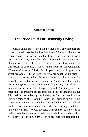#### **Chapter Three**

# <span id="page-24-0"></span>**The Price Paid For Heavenly Living**

Man is under gravest obligation to live a heavenly life because of the price paid in order that he might live it. When a mother makes a great sacrifice to save her daughter from the ways of sin, it lays a great responsibility upon her. The apostle tells us that we are "bought with a price, therefore,"—the word, "therefore" means for this reason, or since this is a fact, we are under certain obligations. "Therefore," says he, "glorify God in your body, and in your spirit which are God's." (1 Cor. 6:20). Since we are bought with a price a great price, we are under obligation to live to the glory of God, for it was to this end that we were purchased. Man usually feels under greater obligation to take care of valuable property that belongs to another than he does if it belongs to himself. And the greater the price paid, the greater the sense of responsibility. If a man would but fully realize that he belongs exclusively to God, this would move him to greater carefulness in life. Also it will bring to him a feeling of security, knowing that God will care for his own. A colored brother was heard to pray one time, when in a strong temptation: "Now help, Massa, for your property is in danger." It is blessed to realize in the hour of temptation that we are the Lord's and to realize how dear we are to Him. Surely we will feel secure in His keeping.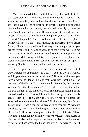Mrs. Hannah Whitehall Smith tells a story that well illustrates the responsibility of ownership. She says that while traveling in the south she met a lady who told her that she had occasion one time to give her slave a piece of work to do which required him to stand outside the window on a plank, that was held steadily by someone sitting on the end on the inside. The man was a little afraid, but said, Missus, if you will sit on the end of the plank yourself, then I'll do the work." I replied, "Won't it do if your wife will sit on the plank? Mandy will not let it fall." "No, Missus," he answered, "I won't trust Mandy. She is only my wife, and she may forget and get up, but you are my Missus, and I belong to you and of course you will keep me safe." God never sends us out on any duty without the promise of keeping us while doing that duty. God's promise is the plank. This plank rests on his faithfulness. We need not fear to walk out upon it, knowing God is on the other end and will bear us up.

One Scripture text above others impresses me with the fact of our valuableness, and dearness to God. It is John 10:29, "My Father, which gave them me, is greater than all." Now from this text you have always, no doubt, thought that Jesus was speaking of the greatness of the Father. That is the thought given us by the common version. But other translations give us a different thought which is the true thought in the mind of Jesus. The marginal reading of the revised version is, "That which my Father hath given unto me is greater than all." The 20th Cent. reads, "What my Father has entrusted to me is more than all else:" Rotheram says, "As for my Father, what He has given me is a greater thing than all." Weymouth translates it, "What my Father has given to me is more precious than all beside." These versions give us the thought of Christ. Those whom the Father had given him were more precious, were dearer to him than all else. In his prayer to the Father he gives us an intimation of how dear those whom the Father had given Him were to Him. "I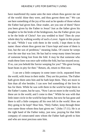have manifested thy name unto the men whom thou gavest me out of the world: thine they were, and thou gavest them me." We can see here something of the joy of his soul as he speaks of those whom the Father had given him. Dear reader, are you one of them? Have you been given by the Father to Jesus? Just as the father gives his daughter to be the bride of the bridegroom, has the Father given you to be the bride of Christ? Are you wedded to him? Then do your whole duty by walking worthy of such a Lover. Again in this prayer he said, "While I was with them in the world, I kept them in thy name: those whom thou gavest me I have kept and none of them is lost, but the son of perdition," meaning Judas. Of course he weeps over the one that was lost. He has had to weep many times because of someone being lost from the fold. It may be that someone who reads these lines was once safe within the fold, but has strayed away. If so, can you behold the Savior weeping for you? "His great loving heart beats in pity for thee." Return, oh, return to Him now.

I can see a little company in some inner circle, separated from the world, with Jesus in their midst. They are his portion. The Father hath given them unto him and he hath kept them. They are more to him than all else besides. I can now feel something of the love he has for them. While he was with them in the world he kept them in the Father's name, but he says, "Now I am no more in the world, but these are in the world, and I come to thee." While he was with that little inner circle in the world he kept them, but now he has gone and there is still a little company all his own left in the world. How are they going to be kept? Hear him, "Holy Father, keep through thine own name those whom thou hast given me." (John 17:11). He is at the right hand of the Father today, just now, praying for that little company of consecrated ones whom the Father hath giveth to him and who are most precious unto him.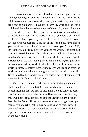He knows his own. He has placed a few marks upon them. In my boyhood days I have seen my father marking his sheep that he might know them. Jesus knows his own by the marks they bear. Here are a few of his marks. "I have given them thy word and the world hath hated them, because they are not of the world, even as I am not of the world." (John 17:14). If you are one of those separated ones, the world hates you. "If the world hate you, ye know that it hated me before it hated you. If ye were of the world, the world would love its own: but because ye are not of the world, but I have chosen you out of the world, therefore the world hateth you." (John 15:18, 19). Is there a gulf fixed between you and the world? The great gulf that was fixed between the rich man in hell and Lazarus in Abraham's bosom was not created after death, but existed while Lazarus lay at the rich man's gate. If there is not a great gulf fixed between you and the world in this life, there will be none in the world to come. Doubtless there are many who walked apart from the world at one time who are now going arm in arm with the world. Being hated by the world is one of the certain marks of being of that inner circle of Christ's beloved ones.

Then there is another mark. "All that the Father giveth me shall come to me." (John 6:37). These words may have a much deeper meaning than we may at first think. No one comes to Jesus that does not forsake all else besides. Here we learn that it is only those who have forsaken all and come to Jesus who are given to Jesus by the Father. Those who come to Jesus no longer look upon themselves or anything they may possess as being their own. The one chief cause of so many powerless lives is because of lack of supreme devotion, and an entire consecration to God. We have heard people sing: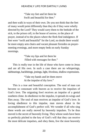"Take my feet and let them be Swift and beautiful for thee."

and then walk in ways of their own. Do you not think that the feet of many would point differently than they do if they were wholly directed by the Lord? They would carry them to the bedside of the sick, to the prison cell, to the house of sorrow, to the place of prayer, instead of to the places where the flesh find indulgence. If feet were "swift and beautiful" for the Lord, no doubt there would be more empty arm chairs and vacant pleasant firesides on prayermeeting evenings, and more empty beds on early Sunday mornings.

> "Take my lips and let them be Filled with messages for thee."

This is really true in the life of those who have come to Jesus and are all His own. In such a case there are no whisperings, talebearings, backbitings, jestings, light, frivolous, shallow expressions.

> "Take my hands and let them move At the impulse of thy love."

This is a true and beautiful conception. The soul of man can become so consonant with heaven as to receive the impulses of God's love. The migrating fowl receives an impulse of a genial southern clime. In obedience to the impulse, it spreads its wings and flies away. The soul of man receives an impulse of God's love. In loving obedience to this impulse, man moves about in the accomplishment of God's perfect will. We wonder if all who sing these words are really moved by heavenly impulses. To be thus moved is the secret of heavenly living. They whose souls have been so perfectly pitched to the key of God's will that they can receive the most delicate impulses, and obey them, live the most heavenly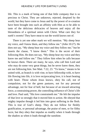life. This is a mark of being one of that little company that is so precious to Christ. They are unknown, rejected, despised by the world, but they have come to Jesus and by the power of re-creation have been brought into such an affinity with Him as to be able to taste of the delicious delicacies of heaven and enjoy all the blessedness of a spiritual union with Christ. What care they for earth's sweets! They have meat to eat the world knows not of.

There is yet one other mark we will mention. "My sheep hear my voice, and I know them, and they follow me." (John 10:27). He does not say, "My sheep hear my voice and they follow me," but he inserts the clause, "I know them." This is the secret of their following Him. He does not say, "My sheep hear my voice and they know me and follow me." They follow him when he calls because he knows them. There are many, he says, who call him Lord and who may do some very great things, but he never knew them, they are not following him. See Matt. 7:22, 23. "To know," means to be united with, as branch is with vine, to have fellowship with, to have life flowing into life, it is love reciprocating love, it is heart beating with heart. Those whom Jesus knows, obey his call, not of compulsion, not for the green pastures, not for any personal advantage, not for fear of hell, but because of an inward attracting force, a constraining power, the controlling influence of Christ's life and love. Paul said, "His love constraineth me." He felt the impulse of that love so strongly that it moved him to action. He obeyed that mighty impulse though it led him into great suffering in the flesh. This is true of God's sheep. They do not follow for fleshly gratification, or personal advantage, the praise of men, or for filthy lucre, but they obey that impulse as readily when it leads through the shadow as when it leads through the sunshine.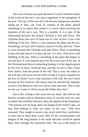The voice of Jesus acts upon the heart of a true Christian similar to the action of the sun's rays upon vegetation in the springtime of the year. The rays of the sun call to the flowers and grasses and they spring up at their call. God, in creation of the plant, placed something in its nature that caused it to move when receiving the impulses of the sun's rays. This is a parable. It is a type of the relationship between the normal Christian's soul and Christ. The Christian obeys the voice of Jesus out of a law of love. Love is the fulfilling of the law. There is a law between the plant and the sun. Something, we may call it instinct, causes it to obey that law. There is a law between the Christian soul and Christ. There is something in that soul that moves it to obey the law. It is love. Thus love is the fulfilling of the law. There is something in the plant that begins to stir and beat. It is an impulse given by the warm rays of the sun. In the Christian heart there is something beating. It is the impulse given by the love of Jesus. Someone may say that we are to obey Christ from choice, from the power of the will. This is true, but where is the will that will move toward Christ except it is given impulses by the love of Christ? Love is the stimulant of the will. We love Christ because he first loved us. The sinner must see and feel the impulses of God's love before he will ever will to come unto him. This is why no one can "come to Christ except the Father draw him."

Just at this writing a lady came into my study. She told me she had but recently read an illustrative story. It was the story of a pair of robins who willfully refused to obey the impulse of the Southland. "The journey was too long, there was danger of the fowler's gun, we may find nothing to meet our needs on the way." Thus they reasoned. They sought to invent a tiny stove which they could place in their nest to keep them warm, then all the wearisomeness and dangers of the long journey to the south and back would be spared them. How fittingly this represents man. The way to the bosom of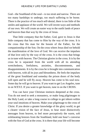God—the Southland of the soul—is too strait and narrow. There are too many hardships to undergo, too much suffering to be borne. There is the practice of too much self-denial, there is too little of the smiles and applause of the world. We will invent ways and methods of our own. We will create an easier way to the sunlit lands of peace and heaven than that way by the cross of Jesus.

That little company that the Father, God, gave to Jesus is that little company that has come to Him by the way of the cross. It is the cross that fits man for the bosom of the Father, for the companionship of the Son. On the cross where Jesus died we behold the manifestation of the love of God. We can receive the impulses of that love only by the way of the cross. It is the cross that brings us in tune with heaven. The Christian glories in the cross. It is by the cross he is separated from the world with all its attending wretchedness, fretfulness, anxieties, discontentments, and disappointments. It is by the cross he is brought into communication with heaven, with all its joys and blessedness. He feels the impulses of the great Southland and someday the prison doors of the body will open and he will fly away. Heaven has come to his soul now. Some day he will go to heaven. If you want to get Los Angeles, tune in on WXYZ. If you want to get heaven, tune in on the CROSS.

You can have your Christian instincts deepened at the cross. You do not need to seek a monastery, or make long pilgrimages to the Holy Land, or take a long course in college to get inborn within your soul intuitions of heaven. Make your pilgrimage to the cross of Christ. If you desire a greater knowledge of the glory world, to get a clearer vision of the face of Jesus, to hear more distinctively messages from heaven, to feel more perceptively the warm, soft exhilarating breezes from the Southland, hold one hour's converse with the Son of God at the cross. It is there that your life will become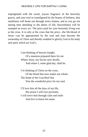impregnated with the sweet, joyous fragrance of the heavenly graces, and your soul so transfigured by the beauty of holiness, that saintliness will beam out through every feature, and as you go out among men attending to the duties of life, heavenliness will be stamped on every act. The price paid for your heavenly living was at the cross. It is only at the cross that the price—the life-blood of Jesus—can be appropriated by the soul and man become the ownership of Christ and thereby enabled to glorify God in his body and spirit which are God's.

> I am thinking of heaven tonight, Of a mansion prepared there for me Where Jesus, my Savior now dwells, And where I, some glad day, shall be.

I'm thinking of Christ on the cross, Of the blood that now makes me whole; The death of the Crucified One Was the wonderful price for my soul.

I'll love him all the days of my life, His praise I will ever proclaim; I will serve him through calm and strife And live to honor his name.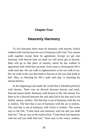### <span id="page-33-0"></span>**Chapter Four**

### **Heavenly Harmony**

To live heavenly there must be harmony with heaven. Enoch walked with God because he was in harmony with God. Two cannot walk together except there be agreement. Except we get into harmony with heaven here on earth we will never get to heaven. Man will go to that place of eternity which he has walked in agreement with while here on earth. Every man is choosing his life's walk each day. He can walk in righteousness or he can walk in sin. He can walk in the way that leads to heaven or the way that leads to hell. Man, in choosing his life's walk each day, is choosing his eternal destiny.

In the beginning God made the world that it blended perfectly with heaven. There was no discord between heaven and earth. Discord means death. Harmony with heaven is life, life eternal. For there to be a discord between the soul and God is for that soul to be fretful, uneasy, restless. The fish that is out of harmony with the sea is restless. The bird that is out of harmony with the air is restless. The soul that is out of harmony with Christ is restless. The ocean says to the fish, "Come back into harmony with me and you shall find rest." The air says to the restless bird, "Come back into harmony with me and you shall find rest." Jesus says to the weary, restless,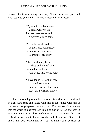discontented traveler along life's way, "Come to me and you shall find rest unto your soul." There is sweet soul rest in Jesus.

> "My soul in trouble roamed Upon a weary plain, And ever restless longed A perfect bliss to gain.

> "All in this world is dross; Its pleasures soon decay; Its honors prove a snare; Its treasures fly away.

"I bore within my breast A deep and painful void, I wanted inward rest, And peace that would abide.

"I have found it, Lord, in thee, An everlasting store Of comfort, joy, and bliss to me, How can I wish for more?"

There was a day when there was no discord between earth and heaven. God came and talked with man as he walked with him in the garden. Angels passed back and forth. But because of sin coming into the world this harmonious union of man with God and heaven was interrupted. Man's heart no longer beat in unison with the heart of God. Jesus came to harmonize the soul of man with God. That chord that was broken and lost out of man's soul because of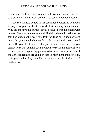disobedience is found and taken up by Christ and again connected, so that in Him man is again brought into communion with heaven.

We see a lonely widow in her cabin home wrestling with God in prayer. A great burden for a world lost in sin lay upon her soul. Why did she have this burden? It was because her soul blended with heaven. She was so in contact with God that she could feel what he felt. The burden of his heart for a lost world had rolled upon her own heart. Do you have the burden for souls lost in sin that you should have? Do you oftentimes feel that you must see souls saved or you cannot live? Do you have such a burden for souls that it moves you to deep, earnest, agonizing prayer? Alas, how many professors of the Christian religion are going on in their merriment, their frivolity, their gaiety, when they should be carrying the weight of a lost world on their hearts.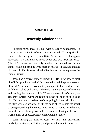## **Chapter Five**

# **Heavenly Mindedness**

Spiritual-mindedness is equal with heavenly mindedness. To have a spiritual mind is to have a heavenly mind. "To be spiritually minded is life and peace." (Rom. 8:6). The writer of the Philippian letter said, "Let this mind be in you which also was in Christ Jesus." (Phil. 2:5). Jesus was heavenly minded. He minded not fleshly things. While on earth he lived more in heaven, in thought, than he did on earth. This is true of all who live heavenly or who possess the mind of Christ.

Jesus had a correct view of human life. He knew how to meet all of life's problems. He had the knowledge and the power to solve all of life's difficulties. We are to yoke up with him, and meet life with him. Yoked with Jesus is the only triumphant way of meeting and bearing the burdens of life. When we have Christ's mind, we can know Christ's ways and can turn things of life to our use as he did. He knew how to make use of everything in life to aid him on in his life's work. So we, armed with the mind of Jesus, hold the secret of using everything that comes to us in such a manner as to help us on in the heavenly way. We hold the secret of having affliction to work out for us an exceeding, eternal weight of glory.

When having the mind of Jesus, we learn that difficulties, hardships, obstacles, afflictions, and persecutions are to be woven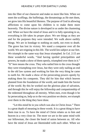into the fiber of our character and make us more like him. When we meet the scoffings, the buffetings, the threatenings as He met them, we grow into His beautiful likeness. The purpose of God in allowing afflictions to come upon his children is to make them more heavenly. The divine nature is developed in us under the chastening rod. When we have the mind of Jesus and it is fully operating in us, everything in life takes its proper place. We see things as they are and for the purposes they were intended. We walk above earthly things. We are in bondage to nothing on earth, not even to death. The grave has lost its victory. We stand a conqueror over all the world. We are reigning in this life. The world lies subject at our feet. We triumph in the same way that Jesus triumphed. In Col. 2:15 are these wonderful words, "And having spoiled principalities and powers, he made a show of them openly, triumphed over them in it." "It" here means the cross. They who nailed him to the cross thought they were triumphing over Jesus, but they were only nailing an end to the old law system and working for him the very thing he came to earth for. He made a show of the persecuting powers openly by making them his conquests. They did for him that which heaven planned from the foundation of the world, and made him the Savior of the world. By this he worked out the glorious plan of salvation, and through this he will enjoy the fellowship and companionship of the redeemed throughout all eternity. When men, even though it be by persecuting us, help us to the very position we desire, we triumph over them in the thing they have done.

"Let this mind be in you which was also in Christ Jesus." There is a great depth of meaning in these words. It is a great thing to have them true in us. To have the mind of Christ relates us to him and heaven in a very close tie. The more we are in the same mind with our fellowman, the closer the bond of union between us. All who have the mind of Jesus are likeminded with each other. When we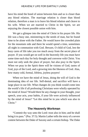have his mind the bond of union between him and us is closer than any blood relation. The marriage relation is closer than blood relation, therefore a man is to leave his blood relation and cleave to his wife. When we are married to Christ in the Spirit, we are enjoying the closest possible union with him.

We get a glimpse into the mind of Christ in his prayer life. His life was a busy one, ministering to the needs of man, but he found time to be alone with the Father. He would leave the crowded plain for the mountain side and there he would spend a time, sometimes all night in communion with God. Beware, O child of God, lest the busy cares of life take you too much away from the secret place of prayer. If you would get on well in the heavenly life you must have some time each day for holy thought and converse with Christ. You must not only seek the place of prayer, but also pray in the Spirit. When we pray in the Spirit there will be visions of God, tastes of God, joys of the Lord, and a growing into the likeness of God. Alas, how many cold, formal, lifeless, joyless prayers!

When we have the mind of Jesus, doing the will of God is the dominating idea of our life. Self-denial, and sacrifice will have a large place in our life. What changes do you think would come into the world's life if all professing Christians were wholly operated by the mind of Jesus? Would there be any change in your thought, your speech, your acts, your habits, if your life were actively influenced by the mind of Jesus? "Let this mind be in you which was also in Christ."

## **The Heavenly Workman**

"Commit thy way unto the Lord: trust also in him; and he shall bring it to pass." (Psa. 37:5). Martin Luther tells the story of a severe contest between the Duke of Saxony and a certain bishop. The Duke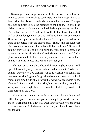of Saxony prepared to go to war with the bishop. But before he ventured on war he thought to send a spy into the bishop's home to learn what the bishop thought about war with the duke. The spy obtained admittance into the presence of the bishop. He asked the bishop what he would do in case the duke brought war against him. The bishop answered, "I will feed my flock, I will visit the sick, I will go about doing the will of God and leave the matter of war with Him, for He fighteth my battles for me." The spy returned to the duke and reported what the bishop said. "Then," said the duke, "let him take up arms against him who will, but I will not." If we will commit our way to God he will bring the right thing to pass. The spider casts out her slender thread to the breeze hoping it will find a place somewhere to fasten. Commit your way to God; trust in him, and he will bring to pass that which is best for you.

This text of scripture has a beautiful rendering by Young. "Roll upon Jehovah, thy way: trust upon him: and he worketh." When we commit our way to God then he will go to work in our behalf. He can never work things out for good to those who do not commit all things unto him. God will do for us that which we are unable to do, if we will give the work to him. Alas, how many toiling, struggling, weary ones, who might have rest from their toil if they would cast their burden on the Lord.

You say you are meeting with so many perplexing things and difficulties you do not see how you are ever going to work them out. Do not work them out. They will wear you out while you are trying to work them out. Roll them upon Jehovah, and he will work them out for you.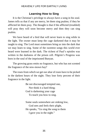# **Learning How to Sing**

It is the Christian's privilege to always have a song in his soul. James tells us that if any are merry, let them sing psalms; if they be afflicted let them pray. The thought is that if the afflicted (troubled) will pray they will soon become merry and then they can sing psalms.

We have heard of a bird that will never learn to sing while in the light. The owner must keep the cage darkened that it may be taught to sing. The Lord must sometimes bring us into the dark that we may learn to sing. Some of the sweetest songs this world ever heard were learned in the dark. The richest of Paul's epistles was written in the darkness of the prison cell. Pilgrim's Progress was born in the soul of the imprisoned Bunyan.

The growing grass emits no fragrance, but who has not scented the fragrance of the new-mown hay?

The roses from which we get our altar of roses have to be picked in the darkest hours of the night. They lose forty percent of their fragrance in the light.

> Be not discouraged tempted one, Nor think it a hard thing; God is darkening your cage To teach you how to sing.

Some souls somewhere are sinking low, God sees and feels their plight, He speaks, "Go sing the song to them I gave you in the night."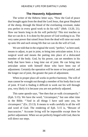### **The Heavenly Adjustment**

The writer of the Hebrew letter says, "Now the God of peace that brought again from the dead the Lord Jesus, that great Shepherd of the sheep, through the blood of the everlasting covenant, make you perfect in every good work to do his will." (Heb. 13:20, 21). How our hearts long to do his will perfectly! This text teaches us that we can do it. It is done by the power of God working in us. The very same power that raised Jesus from the dead will raise our souls up unto life and such strong life that we can do the will of God.

We are told that in the original the word, "perfect," as here used, means to adjust, to put in joint, to bring into articulate union. It is a surgical word and means the putting into place of a dislocated member of the body. God, by his power, can set members in his body that have been a long time out of joint. He can bring into articulate union with himself those who have been out of adjustment. Certainly the operation will be more or less painful, and the longer out of joint, the greater the pain of adjustment.

When in proper place all works in perfect harmony. The will of man cannot be wrought out through a member of his body that is out of joint. If God is finding it difficult to work out his will through you, very likely it is because you are not perfectly adjusted.

This same apostle says, "See then that ye walk circumspectly." (Eph. 5:15). We have the word, "circumspect," but one other time in the Bible. "'And in all things I have said unto you, be circumspect." (Ex. 23:13). It means to walk carefully in all the will and word of God. The rendering of Eph. 5:15 is, "Beware of inaccuracies." Accurate living will be impossible except there be perfect adjustment. When we are perfectly hinged with God, then he will direct our steps.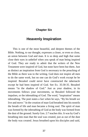## **Chapter Six**

# **Heavenly Inspiration**

This is one of the most beautiful, and deepest themes of the Bible. Nothing, to our thought, expresses a closer, or even so close, an union between God and man. It is so deep and high that some close their eyes in unbelief when you speak of man being inspired of God. They are ready to admit that the writers of the New Testament were inspired of God, but none have been but them. Just as distinct an inspiration from God is necessary to the preaching of the Bible as there was to the writing. God does not inspire all men to do the same work, but no one can do God's work except he be inspired. Bezaleel could never have constructed the tabernacle except he had been inspired of God. See Ex. 35:30-35. Bezaleel means "in the shadow of God." Just as your shadow, in its movements follows your movements, so Bezaleel followed the impulses, or the inbreathing of God. The word, "inspiration" means inbreathing. The poet states a fact when he says, "By his breath we live and move." In the creation of man God breathed into his nostrils the breath of life and man became a living soul. The spirit of man was formed by the inbreathing of God as the body was formed from the dust of the ground. Surely Gen. 2:7 teaches this. It was by God's breathing into man that the soul was created, just as out of the dust the body was created. Jesus breathed upon his disciples and said,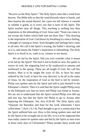"Receive ye the Holy Spirit." The Holy Spirit came like a wind from heaven. The Bible tells us that the wind bloweth where it listeth, and thou hearest the sound thereof, but canst not tell whence it cometh or whither it goeth, so is every one that is born of the Spirit. The Spirit teaches man all things. This teaching is nothing less than inspiration or the inbreathing of God. Jesus said, "None can come to me except the Father which hath sent me draw him." This drawing is the inspiration of God. God draws by breathing in a man a feeling, a thought of coming to Jesus. Such thoughts and feelings have come to all men. We call it the Spirit's wooing, the Father's drawing, and so it is, and means the Father's inspiration or inbreathing. The Holy Spirit is to dwell in us, walk in us, witness in our hearts.

We are led by the Spirit. Did you ever consider what it meant to be led by the Spirit? The bird is led to build its nest, the spider to weave its web, the migrating fowl to fly southward in autumn and northward in the spring. These are all taught of God. We call this instinct. Man is to be taught the ways of life, to have his steps ordered by the Lord, to have his way directed, to do all in the name of Jesus, by the inspiration of God as the bird is led by instinct. Philip was spoken unto by the Spirit and told to join himself to the Ethiopian's chariot. Then it is said that the Spirit caught Philip away so the Ethiopian saw him no more and Philip was found at Azotus. We are not to understand that the Spirit carried Philip over hill top and tree top, but that the Spirit led Philip to go to Azotus after baptizing the Ethiopian. See Acts 8:26-40. The Holy Spirit said, "Separate me Barnabas and Saul for the work whereunto I have called them." (Acts 13:1-4). Paul thought to go to a certain place but the Spirit suffered him not. How is this being spoken unto and led by the Spirit to be wrought out in our life, or is it to be supposed that man today cannot be spoken unto and led by the Spirit as men were in those early days of Christianity? Please ponder these words and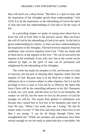they will teach you a deep lesson. "But there is a spirit in man, and the inspiration of the Almighty giveth them understanding." (Job 32:8). It is by the inspiration, or the inbreathing of God in the spirit of man that man has understanding of God and of all the ways of life.

In a preceding chapter we spoke of saying more about how to know the will of God. Here is the precious secret. Man can know the will of God by the inbreathing of God in his spirit. As the bird is given understanding by instinct, so man can have understanding by the inspiration of the Almighty. The bird receives impulses from the southland, man receives impulses from God. "Take my hands and let them move, at the impulse of thy love." We can be moved by the impulse of the southland. If not, why not? Just as the crystal can be radiated by light, so the spirit of man can be permeated and enlightened by the inbreathing of the Almighty.

The writer has made his mistakes in life, not because of a lack of sincerity, but because of obeying other impulses rather than the impulse of God. Because man is in the flesh he is liable to other influences; he is a creature subject to other impulses, but is it not his privilege to live so near to God and be so filled by the Spirit that Jesus Christ will be the controlling influence in his life? Humanity is weak, yes, very weak, and the more we live in our humanity, the weaker we will be, but the more we live by the power of God the stronger we will be. The reason Paul gloried in tribulations was because they caused him to live less in his humanity and more in God. He says, "When I am weak, then am I strong." By this he means when it is less "I" that lives and more that Christ lives in me then I am strong. "I can do all things through Christ who strengtheneth me." While our mistakes and weaknesses have been serious enough we are not ready to admit that this is inevitable. We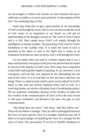are encouraged to believe the lessons we have learned will prove sufficient to enable us to move more perfectly "at the impulse of His love" the remaining days of life.

Some may think that we get a great portion of our knowledge of God's will through his word. This is very true but except the word of God comes as an inspiration to our hearts we will get no understanding of his thoughts toward us. The word of God is Spirit and it is life. Man cannot know God's will simply through his intelligence or human wisdom. The preaching of the word of God is foolishness to the worldly wise. It is when the word of God is preached in the Spirit or read in the Spirit that it comes as an inspiration from heaven, then we know God's will through his word.

Let me repeat what was said in a former chapter that it was a deep and beautiful conception of the poet who desired that her hands be moved at the impulse of God's love. How many have sung these words little realizing their depth of meaning. It was, however, a true conception, and one that was inspired by the inbreathing into the soul of the writer. It is in God that we live and move and have our being. There is a spirit in man and his spirit can be indwelt by God's Spirit so that man can receive impulses from God as truly as a receiving station can receive vibrations from a broadcasting station. We are surprised, astonished, amazed, at the wonders of radio, but the wonders of the communication of God's will to the soul of man is still more wonderful, and blessed is the man who gets in such communication.

"My sheep hear my voice," said Jesus "and they follow me." They will not follow a stranger. They are able to distinguish between the voice of Jesus and the voice of a stranger. Someone may ask if there is not great danger of mistaking the voice of a stranger for the voice of Jesus. Not necessarily. If we live in humble obedience to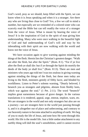God's word, pray as we should, keep filled with the Spirit, we can know when it is Jesus speaking and when it is a stranger. Are there any who are living thus close to God? Yes, a few we call to mind a number, but especially are we reminded of a colored sister who can scarcely read the Bible but can tell readily the voice of a stranger from the voice of Jesus. What is meant by hearing the voice of Jesus? It is the inspiration of God to the spirit of man giving him understanding. Many who were once walking in the beautiful light of God and had understanding of God's will and way by his inbreathing with their spirit are now walking with the world and know not the voice of Jesus.

We have occasion again to give warning against minding the things of the flesh. Herein lies the Christian's greatest danger. "Walk not after the flesh, but after the Spirit." (Rom. 8:1). "For if ye live after the flesh ye shall die: but if ye through the Spirit do mortify the deeds of the body ye shall live." (Rom. 8:13). There are men and ministers who years ago told me I was too zealous in giving warning against minding the things of the flesh, but these men today are living to the flesh, ministers greedy of filthy lucre, and blinded by worldliness. Listen to Peter's solemn warning, "Dearly beloved, I beseech you as strangers and pilgrims, abstain from fleshly lusts, which war against the soul." (1 Pet. 2:11). The word "beseech" implies great earnestness because of grave danger. In the various translations it is rendered, appeal, urge, entreat, implore, warn, etc. We are strangers in the world and not only strangers but also are on a journey—we are strangers here in the world just passing through it, and it is altogether out of place and unbecoming, and contrary to our heavenly nature to become attached to anything of earth. We beg of you to study the life of Jesus, and note how He went through this world. His life is the model life. Just a little undue attachment to any earthly thing will dull the soul's sensibilities, until it cannot receive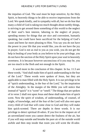the impulses of God. The soul must be kept sensitive, by the Holy Spirit, to heavenly things to be able to receive impressions from the Lord. We speak kindly, and in sympathy with all, but we do fear that many a child of God is taking too much thought about earthly things, is striving to get around them something of this world to the neglect of their soul's best interest, laboring to the neglect of prayer, spending money for things that are nice and convenient, humanly speaking, but could have been sacrificed for the helping of God's cause and been far more pleasing to Him. You say you do not have the power in your life that you would like, you do not have the joy in prayer, God is not as real to you as you wish, you do not get the help in healing of your body as you believe to be your privilege, you do not have the unction of the Holy Spirit upon your soul in heavenly sweetness. It is because however unconscious of it you may be, you are too much in the flesh and not enough in the Spirit.

A word more in the conclusion of this chapter. In Isa. 11:3 are these words, "And shall make him of quick understanding in the fear of the Lord." These words were spoken of Jesus, but they are applicable to man filled with the Holy Spirit. It is our privilege to be of "quick understanding, in the fear of the Lord," by the inspiration of the Almighty. In the margin of the Bible you will notice that instead of "quick" it is "scent" or "smell." The things that are spoken of in verse 2 shall rest upon Jesus and these shall make him of quick scent. Now the spirit of wisdom, of understanding, of counsel, of might, of knowledge, and of the fear of the Lord will also rest upon every child of God that will come close to God and they will make him quick-scented. There are depths in these words. It is our privilege to detect spiritual ill-odors. If you live in the impure air of an unventilated room you cannot detect the foulness of the air, but if you will step outside and breathe the pure air of the outside world awhile and then step inside that room you will scent the ill-odor.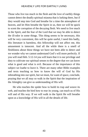Those who live too much in the flesh and the love of earthly things cannot detect the deadly spiritual miasma that is lurking there, but if they would step into God and breathe for a time the atmosphere of heaven, and let Him breathe the Spirit in us, then we will be quick to scent the corruption of the decaying flesh. We need to live much in the Spirit, and the fear of the Lord that we may be able to detect the ill-odor in some things. This thing seems to be necessary, this will be very convenient, this will be quite useful, I need this badly, this literature is harmless, this fellowship will not affect me, this amusement is innocent. And all the while there is a smell of fleshliness about these things we have not been able to detect and we wonder why we cannot understand God's will more perfectly. If you will read Heb. 5:12-14 you will learn that it is our privilege and duty to cultivate our spiritual senses to the degree that we can know what is good and what is evil. Because of the importance of this subject we loathe to leave it. There are many other Bible examples and texts teaching us how to know the will of God by His inbreathing into our spirit, but we must, for want of space, conclude, praying that we all may so walk in the Spirit that the inspiration of the Almighty can give us understanding of His will.

He who teaches the spider how to build its trap and weave its web, and teaches the bird how to rear its young, can teach us of His will and of His way. If we will walk in the Spirit He will breathe upon us a knowledge of His will in all the details of life.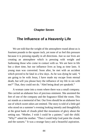## **Chapter Seven**

# **The Influence of a Heavenly Life**

We are told that the weight of the atmosphere round about us is fourteen pounds to the square inch, yet none of us feel this pressure because it is pressing equally in all directions. Just so our lives are creating an atmosphere which is pressing with weight and fashioning those who come in contact with us. We are here in life but a short time, but our influence lives as long as time lasts. A young man was converted. Soon after, he met with an accident which proved to be fatal in a few days. As he was dying he said, "I am going to be with Jesus, I have made my escape from eternal death, but will you please bury the influence of my life in sin with me?" That, they could not do. "Abel being dead yet speaketh."

A woman came into a room where there was a small company. She carried an alabaster box of precious ointment. She anointed the feet of one of the company and the fragrance filled the room. This act stands as a memorial of her. Our lives should be an alabaster box out of which sweet odors are emitted. The story is told of a little girl who stood on a summer's evening looking intently and thoughtfully at the great bank of clouds piled like mountains of glory about the setting sun. "Mother, I wish I could be a painter," said the child. "Why?" asked the mother. "Then I could help God paint the clouds and the sunsets." It was a strange fancy and a beautiful aspiration.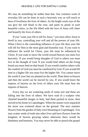We may do something far nobler than that. Our common work of everyday life can be done in such a heavenly way as will touch to hues of loveliness the lives of others. As the bright warm rays of the sun give the soft blush to the rose, and paint its petals in such beautiful colors, so the life filled with the love of Jesus will cheer and beautify the lives of others.

If you "want your life to tell for Jesus," you must allow Jesus to dwell in you, controlling your will and all the powers of your life. When Christ is the controlling influence of your life then your life will tell for Him in the most glad and beautiful way. If you want to influence the world for Christ, your life must be influenced by Christ. If you want to move the world toward heaven you must live heavenly. If you would bring thoughts of God to others you must live in the thought of God. If you would feed others on the living bread you must feed on that bread. If you would comfort others with the comfort of God you must be comforted by God. If you would lift men to a higher life you must live the higher life. You cannot move the world if your feet are planted on the world. Plant them in heaven and then the world can be moved by you. If you would leave the impress of heaven on the lives of others your life must bear the impress of heaven.

Every day we are scattering seeds of some sort and these are falling into the lives of others. We have read of a sculptor who chiseled beautiful images in Italy, had them packed in straw, then moved to his home in Copenhagen. When the statues were unpacked the straw was scattered about on the ground. The next summer flowers from the garden of Italy were blooming in Copenhagen. You may scatter seeds of truth into other lives and have flowers from the kingdom of heaven growing where otherwise there would be bleakness and bareness. You may never be able to preach the gospel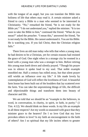with the tongue of an angel, but you can translate the Bible into holiness of life that others may read it. A certain minister asked a friend to carry a Bible to a man who seemed to be interested in Christianity. "No," remarked the friend, "he is not ready for the Bible yet." "I do not understand you," replied the minister. "It is too soon to take the Bible to him," continued the friend. "What do you mean?" asked the preacher. "I mean this," answered the friend, "he is not ready for the Bible. He cannot understand it. You are his Bible. He is watching you. If you fail Christ, then the Christian religion fails."

There lives an old man today who tells that when a young man, he had desires to be a Christian, yet for certain reasons had resisted the grace of God. One night when in a strange city he roomed in a hotel with a young man who was a stranger to him. Before retiring this young man knelt down and silently prayed. "Though his prayer was in silence it spoke loud to my soul. That noble example ennobled me. Half a century has rolled away, but that silent prayer still wields an influence over my life." A life made lovely by contemplation of God will reflect the loveliness of God. A beautiful farm house has been built out of the boulders that lay scattered over the farm. You can take the unpromising things of life, the difficult and objectionable things and transform them into beauty of character and life.

We are told that we should be an "example to the believers, in word, in conversation, in charity, in spirit, in faith, in purity." (1 Tim. 4:12). We should think on these words. Is my life an example in all these respects? Are my words so seasoned with grace that they minister grace to the hearers? Do I so love God that my love provokes others to love? Is my faith an encouragement to the faith of others? Am I so spiritual that my life incites others to greater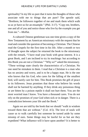spirituality? Is my life so pure that it turns the thoughts of those who associate with me to things that are pure? The apostle said, "Brethren, be followers together of me and mark them which walk so as ye have us for an ensample." (Phil. 3:17). "Copy me, brothers, one and all of you and notice those who live by the example you get from me."—Moffat.

A cultured Chinese gentleman was one time given a copy of the New Testament by an American missionary with the request that he read and consider the question of becoming a Christian. The Chinese read the Gospels for the first time in his life. After a month or two of thought upon the subject he returned the book to the missionary with the remark, "I have read your book with great interest. It is a great Book, and I am inclined to try its teachings: but according to this Book you are not a Christian." "Why so?" asked the missionary. "These writings state clearly the characteristics of a Christian. No one need be mistaken in them. I read that a Christian is a man who has no anxiety and worry, and is to be a happy man. He is the one who knows that his God, who cares for the falling of the smallest bird, will surely care for him. This Book promises the gift of peace to its followers. Jesus promises that those who believe his words shall not be harmed by anything. If they drink any poisonous thing or are bitten by a poison reptile it shall not hurt them. You are the most worried man I know. You have a thousand cares. You do not rely on the promises of your God when sick or in danger. There is a contradiction between your life and the Book."

Again we are told by the book that we should "walk in wisdom toward them that are without." (Col. 4:5). The love of souls will cause us to walk carefully lest someone be turned aside by some misstep of ours. Some things may be lawful for us but are they expedient? What influence will it have upon another? It is better to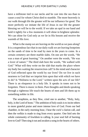have a millstone tied to our necks and be cast into the sea than to cause a soul for whom Christ died to stumble. The more heavenly is our walk through life the greater will be our influence for good. The more perfectly we imitate the life of Jesus in our life the greater blessing we will be to the world. If we take an opal in our hand and hold it tightly for a few moments it will shine in brightest splendor. We can shine for God only as we lie in His bosom and receive the warmth of His love.

What is the stamp we are leaving on the world as we pass along? It is a stupendous fact that in our daily walk we are leaving footprints on the sands of time to be read by men in the years to come. In a certain cemetery are three marble slabs. On one are the words, "He was a man of great learning." On another were the words, "He was a lover of nature." The third slab bore the words, "He walked with God." What will they write on the slab that marks the place where my body lies waiting the resurrection call? Is the mind and character of God reflected upon the world by our lives? Do we live in such nearness to God that we imprint him upon that with which we have to do? Is "Holiness to the Lord," written upon the acts of our life? There is an eloquence in a holy life. It speaks in tones not to be forgotten. There is music in them. Pure thoughts and deeds speaking through a righteous life touch the hearts of men and lift them up to something nobler in life.

The seraphims, as they flew, cried one to another, "Holy, holy, holy, is the Lord of hosts." The ambition of holy souls is to incite others to more grateful praise and more intense love of God. From our bed chamber, in the early morning hour, I hear the cock's clarion call, and then the welkin is made to ring from every quarter. One bird sets the whole community of fowldom to calling. Is your soul full of burning love to God? Then sing it out and awaken a song in the hearts of others.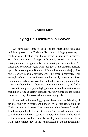## **Chapter Eight**

# **Laying Up Treasures in Heaven**

We have now come to speak of the most interesting and delightful phase of the Christian life. Nothing brings greater joy to the heart of a Christian than that of laying up treasures in heaven. He so loves and enjoys adding to his heavenly store that he is eagerly seizing upon every opportunity for the making of such addition. No miser ever counted his gold with such joy as the Christian reflects upon his riches in glory. But how different the nature of the joy. The one is earthly, sensual, devilish, while the other is heavenly. How sweet, how blessed the joy! No man in his earthly pursuits manifests such interest and eagerness as the saint in his heavenly pursuits. The Christians should have a thousand times more interest in, and find a thousand times greater joy in laying up treasures in heaven than ever man did in laying up earthly store, for heavenly riches are a thousand times and more, of greater value than earthly goods.

A man said with seemingly great pleasure and satisfaction, "I am growing rich in stocks and bonds." With what satisfaction the Christian says in his heart, "I am growing rich in heaven." He who lies down upon his bed at night, knowing he has added a nice sum to his heavenly riches that day is far happier than the man who added a nice sum to his bank account. No earthly-minded man meditates with such complacency, in the waking hours of the night upon his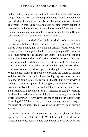bed, of earthly things as the saint finds in meditating upon heavenly things. Note the great delight the psalm singer found in meditating upon God in the night watches. Is this the measure of our life and enjoyment? A man asked why he could not find greater delight in meditating on things above, and why he had such difficulty to have such meditation, and was troubled so with earthly thoughts. He was told that he did not have enough heart in heaven.

A very rich man died. One neighbor asked another how much the deceased had left behind. The answer was, "He has left all." Sad indeed when a dying man is leaving all behind. Which would you rather be, Dies leaving all behind, or Lazarus going to all? If you say you would rather be like Lazarus then let there be a daily proof of it in your life. Two men had lived beside each other for years. One was a man who sought and gained the riches of the world. The other was a man who sought the kingdom of God and his righteousness. These men were both brought down upon their dying beds the same week. When the rich man was spoken to concerning the future of himself and his neighbor, he said, "I am leaving my treasures, but my neighbor is going to his. Many times I thought him very unwise in giving so much in support of his religion, but when a man comes down on his dying bed he can see the folly of storing up riches here. I am leaving all I have lived for. My neighbor is going to what he has lived for." Why leave so much behind to be destroyed when this world is burning? Or why leave very much behind for others to use in serving sin? Will it not pay you in eternity to give your money to the cause of God rather than leave it for children to use in serving Satan?

Jesus tells us not to lay up our treasures on earth, but to lay them up in heaven. See Matt. 6:19:20. What Jesus tells us to do is the wisest thing to do. Some act like they thought they knew what was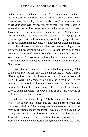better for them more than Jesus did. The reason why it is better to lay up treasures in heaven than on earth is because where your treasures are, there will your heart be also. Now it is most necessary to get your heart over into heaven, for no man ever went to heaven who did not get his heart over there before his departure from here. Laying up treasures in heaven fits man for heaven. Nothing more greatly ennobles and builds up his character. The laying up of treasures upon earth makes men earthly, while the laying of them up in heaven makes them heavenly. It is not what we make that makes us rich, but what we give. We are rich or poor, not according to what we have, but according to what we are. Do not turn to your bank account or your broad acres to see what you are worth. Look into your character. We say with emphasis that no man can build up a Christian character and not do all he can with his means to advance God's cause.

Having the heart in heaven is the secret of living heavenly. "Out of the abundance of the heart the mouth speaketh." (Matt. 12:34). "Keep thy heart with all diligence, for out of it are the issues of life."—Proverbs 4:23. Man lives out what is in the heart. To live heavenly you must have heaven in your heart and your heart in heaven. We doubt if any other thing that God's people are coming short of doing the whole will of God so much as in that of giving of their means to further His cause.

Did you ever study 2 Kings 12:4? Note the last clause of the verse. "The money that cometh into any man's heart to bring into the house of the Lord." This money was for the reconstruction of the temple. The tribute money the Israelite was obliged to give, but the money here spoken of was the money that he had in his heart to give. It was this money given out of the heart that was precious to God. Does it not come into your heart to bring some money into the house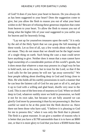of God? It does if you have your heart in heaven. Do you always do as has been suggested to your heart? Does the suggestion come to give, but you allow the flesh to reason you out of what your heart wishes to do? Beware of refusing these generous impulses that come from heaven to your heart. To allow the flesh to reason you out of doing what the higher life of your soul suggested to you unfits you for heaven and for heavenly living.

"Lay not up for yourselves treasures upon the earth." It is only by the aid of the Holy Spirit that we can grasp the full meaning of these words. Let us first of all, say a few words about what they do not mean. They do not mean that we should not be the legal owner of a single thing on earth. Such being the case a man could never have anything to give. Neither does it mean that a man cannot have legal ownership of a considerable portion of this world's goods, but it does mean that whatever a man may possess in a legal way he has to hold such, not as his own, but in trust for the Lord, so that if the Lord calls for the last penny he will not "go away sorrowful." We hear people talking about dwelling deep in God and living close to Him. He who holds all his earthly possessions in such a manner that he can hear the faintest call of God for any part or all of it, and give it up to God with a willing and glad heart, dwells very near to the Lord. This is one of the best tests of nearness to God. When we dwell deep in God, whatever earthly store we hold in possession, we hold it not for its own sake, but because we are fully assured we can glorify God more by possessing it than by not possessing it. But how careful we need to be at this point lest the flesh deceive us. Have there not been those who have said, "I believe it is pleasing to God for me to possess this," when it was only the flesh that is pleased. The flesh is a great reasoner. It can give a number of reasons why it is better that you have a \$1700 automobile than it is to have an \$800 one, or that it is more glory to God that you have a \$5000 home than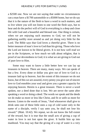a \$2500 one. Now we are not saying that under no circumstances can a man have a \$1700 automobile or a \$5000 home, but we do say that it is the nature of the flesh to have a word in such matters, and to live where you will not listen to one word the flesh says, but to hear and do the perfect will of God in everything is a deep and close life with God and a beautiful and blessed one. One thing is certain, when we are enjoying such nearness to God, we will not be gathering earthly store around us and yet doing very little for the Lord. The Bible says that God loves a cheerful giver. There is no better measure of man's love to God than his giving. Those who love the Lord are known to be liberal givers. It is not how well read we are in the Scriptures, or how much we talk about religion, that is proof of our devotedness to God; it is what we are giving to God out of pure love to Him.

Some may want to know a little better how we can lay up treasures in heaven. There are many, many ways. We can speak of but a few. Every dime or dollar you give out of love to God is a treasure laid up in heaven. Just the extent of this treasure we do not know, but of this we are assured, every penny you give out of sincere love to God ennobles your soul and gives you a greater capacity for enjoying heaven. Herein is a great treasure. There is never a word spoken, nor a deed done that is lost. We are never the same after speaking a word or doing a deed. The words we speak and the deeds we do make us more or less like Christ, and fit or unfit us more for heaven. Listen to the words of Jesus, "And whosoever shall give to drink unto one of these little ones a cup of cold water only in the name of a disciple, verily I say unto you, he shall not lose his reward." (Matt. 10:42). We repeat, we do not know the full extent of the reward, but it is true that the small acts of giving a cup of water in love is not lost upon the giver. It builds him up into manhood. You may say that the giving of a cup of water is a very

53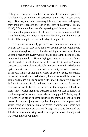trifling act. Do you remember the words of the famous painter? "Trifles make perfection and perfection is no trifle." Again Jesus says, "But I say unto you, that every idle word that men shall speak, they shall give account thereof in the day of judgment." (Matt. 12:36). We are not the same after speaking an idle word, nor are we the same after giving a cup of cold water. The one makes us a little more like Christ, the other a little less like Him, and this much at least will be our gain or loss in the day of judgment.

Every soul we can help get saved will be a treasure laid up in heaven. We will not only have the joy of seeing a soul brought home to heaven through our effort, but the helping of a soul also lifts us up into a higher life. Every word of praise and thanksgiving to God, every loving thought of Him is laying up treasure in heaven. Every act of sacrifice or self-denial out of love to Christ is adding to our treasure store in the glory world. Oh, how busy we ought to be laying up treasures in heaven! Every act of true worship to God is a treasure in heaven. Whatever thought, or word, or deed, or song, or sermon, or prayer, or sacrifice, or self-denial, that makes us a little more like Jesus, and makes our life on earth a little more heavenly is a treasure laid up in heaven. Look and see how busy men are laying up treasures on earth. Let us, as citizens in the kingdom of God, be many times busier laying up treasures in heaven. Let us follow in the footsteps of Jesus who "went about doing good." The laying of a flower on the casket of some departed one may gain for us a slight reward in the great judgment day, but the giving of a helping hand while living will gain for us a far greater reward. Some years ago when the waters we were passing through were quite deep, and we felt the need of a cheering word or a prayer from one loving heart we wrote the following lines: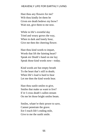Hast thou any flowers for me? Wilt thou kindly let them be Given ere death bedews my brow? Wait not, give them to me now.

While in life's eventful day Tried and weary grows the way, When in dark and lonely hour, Give me then the cheering flower.

Hast thou kind words to impart, Words that lift the fainting heart? Speak ere Death's hand on me lay; Speak those kind words now—today.

Kind words are but empty breath To the heart that's still in death; When life's load is hard to bear Let me then the kind words hear.

Hast thou sunlit smiles to give, Smiles that make us want to live? E'er I cross death's sullen stream On me let those bright smiles beam.

Smiles, whate'er their power to save, Cannot penetrate the grave. Ere I reach life's ending mile, Give to me the sunlit smile.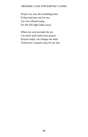Prayer can stay the trembling knee, If thou hast but one for me, Let it be offered today, Ere the life-light fades away.

When my soul ascends the air, I no more shall need your prayer; Prayers today can change our state, Tomorrow's prayers may be too late.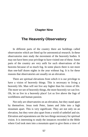## **Chapter Nine**

# **The Heavenly Observatory**

In different parts of the country there are buildings called observatories which are fitted up for astronomical research. In these observatories men study the movement of the heavenly bodies. It may not have been your privilege to have visited one of these. Some parts of the country are very unfit for such observations of the heavens because of so much fog. In some places there is not more than one-half dozen nights in the year without fog. It is for these reasons that observatories are usually on an elevation.

There are spiritual elevations from which it is our privilege to have a vision of heavenly things. This is necessary to living a heavenly life. Man will not live any higher than his vision of life. The more we see of heavenly things, the more heavenly we can live. Oh, let us live in a heavenly place! Let us live above the fogs of worldliness and human passion.

Not only are observatories on an elevation, but they stand apart by themselves. Jesus took Peter, James and John into a high mountain apart. This is very significant. They are not only on an elevation, but they were also apart from a world of unbelief and sin. Elevation and separateness are the two things necessary for spiritual vision. It is interesting to study the instances recorded in the Bible where God took men into a mountain apart to give them a view of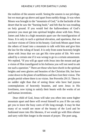the realities of the unseen world. Seeing the unseen is our privilege, but we must get up above and apart from earthly things. It was when Moses was brought to the "mountain of God," in the backside of the desert that he saw the "burning bush," and felt that he was treading on holy ground. If you would feel the hallowedness of God's presence you must get into spiritual heights alone with him. Peter, James and John in a high mountain apart saw the transfiguration of Jesus. It is only in such a spiritual elevation, and apartness, that we can have visions of Christ in his beauty. God took Moses apart from the others of Israel into a mountain to talk with him and give him the law for the ruling of Israel. It is only from some heavenly height alone with Jesus that we can get His view-point of life. We were asked by a certain one if it was wrong to go to a certain amusement. We replied, "If you will go apart with Jesus into the mount and get a vision of Him transfigured in his holiness you will not need to ask me such a question." There are those who have dwelt in the spiritual heights and seen glories and beauties of the Christian life, but have come down to the plane of earthliness and have lost their vision. The people perish where there is no vision. See Proverbs 29:13. There is no sadder sight than that of seeing those who have had joyous contemplations of heavenly beauties, and seen Jesus in His loveliness, now trying to satisfy their hearts with the works of art and human inventions.

Dear child of God, Jesus will take you often into some higher mountain apart and there will reveal himself to you if He can only get you to leave the busy cares of life long enough. It may be that many of us would see more of the beauty of the Lord and be fashioned more into His likeness, if we would go with Him oftener and tarry with Him longer in the mount of prayer. The poet sang,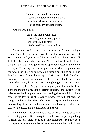"I am dwelling on the mountain, Where the golden sunlight gleams O'er a land whose wondrous beauty Far exceeds my fondest dreams."

And we would add,

I am in the mount with Jesus Dwelling in a heavenly place; Here I would abide forever, To behold His beauteous face.

Come with us into this mount where the "golden sunlight gleams" and there let Jesus reveal to you the wondrous beauty of His character and you too will find it "good to be here." You will feel like tabernacling there forever. Alas, how few of mankind find the great and satisfying joy of being apart with Jesus in the mount of prayer. Too many find greater pleasure in beholding pictures on the screen than they do in beholding "wondrous things out of His law." It is to be feared that many of Christ's own "little flock" do not repair to the mountain retreat as often as they should, and many times when there, do not tarry long enough to get a distinctive view of the heavenly life. They get one little glimpse of the beauty of the Lord and then run away to their earthly concerns, and Jesus is left to grieve over the disappointment of not having time to unfold to them some of the loveliness of heavenly things. Eye hath not seen the things God has to show those who live in the Spirit. It takes not only an unveiling of the face, but it also takes long looking to behold the glory of the Lord, and get it imaged in the soul.

A distinctive view of the lovely face of Jesus is not to be gained in a passing glance. Time is required. In the work of photographing Christ in the heart there needs be a "time exposure." You have seen those pictures where a number of faces were more than half hidden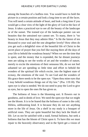among the branches of a leafless tree. You would have to hold the picture in a certain position and look a long time to see all the faces. You will need a certain attitude of heart, and look a long time if you would get a clear view of the light of the glory of God in the face of Jesus. It takes a practiced eye to see all the beauty of the landscape or of the sunset. The trained eye of the landscape painter can see beauties that the untrained eye cannot see. To many, there is "no beauty in Jesus that they may admire Him." Is He the fairest of ten thousand to your soul and the one altogether lovely? How often do you get such a delightful view of the beautiful life of Christ in the secret place of prayer that you feel like staying there all the days of your life to behold the wondrous beauty? When we see the time that is spent, and the money that is expended, the far distant journeys men are taking to see the works of art and the wonders of nature, merely to excite the emotions of their sensuous life, do we not feel ashamed we are spending so little time and effort to behold the wonders of the spiritual life which excite, into the highest state of ecstasy, the emotions of the soul. To see God and the wonders of His grace there needs to be the open eye. "Open thou mine eyes that I may behold wondrous things out of thy law." (Psa. 119:18). The open eye is what is needed. We do not need to pray the Lord to give us eyes, but to open the ones He has given us.

The holiness of Jesus is the blooming sort. It flowers out in goodness, and in deeds of love. We need the open eye that we might see the bloom. It is to be feared that the holiness of some is the cold, lifeless, unblooming kind. It is because they do not see anything more in the life of Jesus. On a shelf in my study is a bouquet of artificial roses. They are quite beautiful but they lack the blush of life. Let us not be satisfied with a staid, formal holiness, but seek a holiness that has the bloom of Christ upon it. To have this we must repair to the heavenly observatory and in the Spirit get a vision of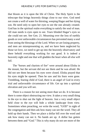that bloom as it is upon the life of Christ. The Holy Spirit is the telescope that brings heavenly things close to our view. God need not create a well of water for thirsting, weeping Hagar and her dying son. He need only to open her eyes to see the one already created. God has in the spiritual realm everything to satisfy the soul of man. All man needs is eyes open to see. Tears blinded Hagar's eyes so she could not see. See Gen. 21. Mourning over the loss of earthly goods or over unfavorable circumstances has prevented many a soul from seeing the blessings of the Lord. When we are losing property, and men are misrepresenting us, and we have been neglected by those we love, we need to get up into the heavenly observatory and there behold everything working for our good. It is indeed a heavenly sight and one that will gladden the heart when all else will fail.

The "horses and chariots of fire" were around about Elisha in the mount, but the servant did not see them and he was afraid. He did not see them because his eyes were closed. Elisha prayed that his eyes might be opened. Then he saw and his fears were gone. Trembling, fearing child of God, there is an angel of God in every trial and unfavorable circumstance of life. Get up into a spiritual elevation and you will see.

There is a reason for not seeing more than we do. It is because there is some object obstructing our view. It takes a very small thing in the eye to shut out the light of heaven. Just a very small object held close to the eye will hide a whole landscape from view. Sometimes when preaching, we write the word, "GOD" in sight of the congregation and then ask how many can see the word. They all hold up their hands. Then we place a dollar bill over the word and ask how many can see it. No hands are up. A dollar has gotten between them and "God." This is why many do not see more of the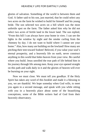glories of salvation. Something of the world is between them and God. A father said to his son, just married, that he could select any two acres on the farm he wished to build for himself and his young bride. The son selected two acres on a hill which was the most unfertile spot on the farm. The father asked him why he did not select two acres of fertile land in the lower land. The son replied, "From this hill I can always have your home in view. I can see the lights in the window by night and the smoke curling from the chimney by day. I do not want to build where I cannot see your home." Alas, how many are building on the lowland! How many are pitching their tent toward Sodom! Beloved, if you value your soul's eternal prosperity, and a heavenly life on earth, never construct anything in this world that hides heaven from your view. Be careful where you build. Jesus unrolled the true path of life behind him in his journey through life among men. Keep your eye opened straight on this path and walk daily in it and the glories of heaven will ever be bursting on your sight.

Now we must close. We must tell you goodbye. If the Holy Spirit has taken any word of this booklet and made it a blessing to you, we are thankful. We hope someday when God wills, to meet you again in a second message, and speak with you while sitting with you in a heavenly place about some of the beautifying conceptions, some of the Bible writers had of God from their heavenly observatory.